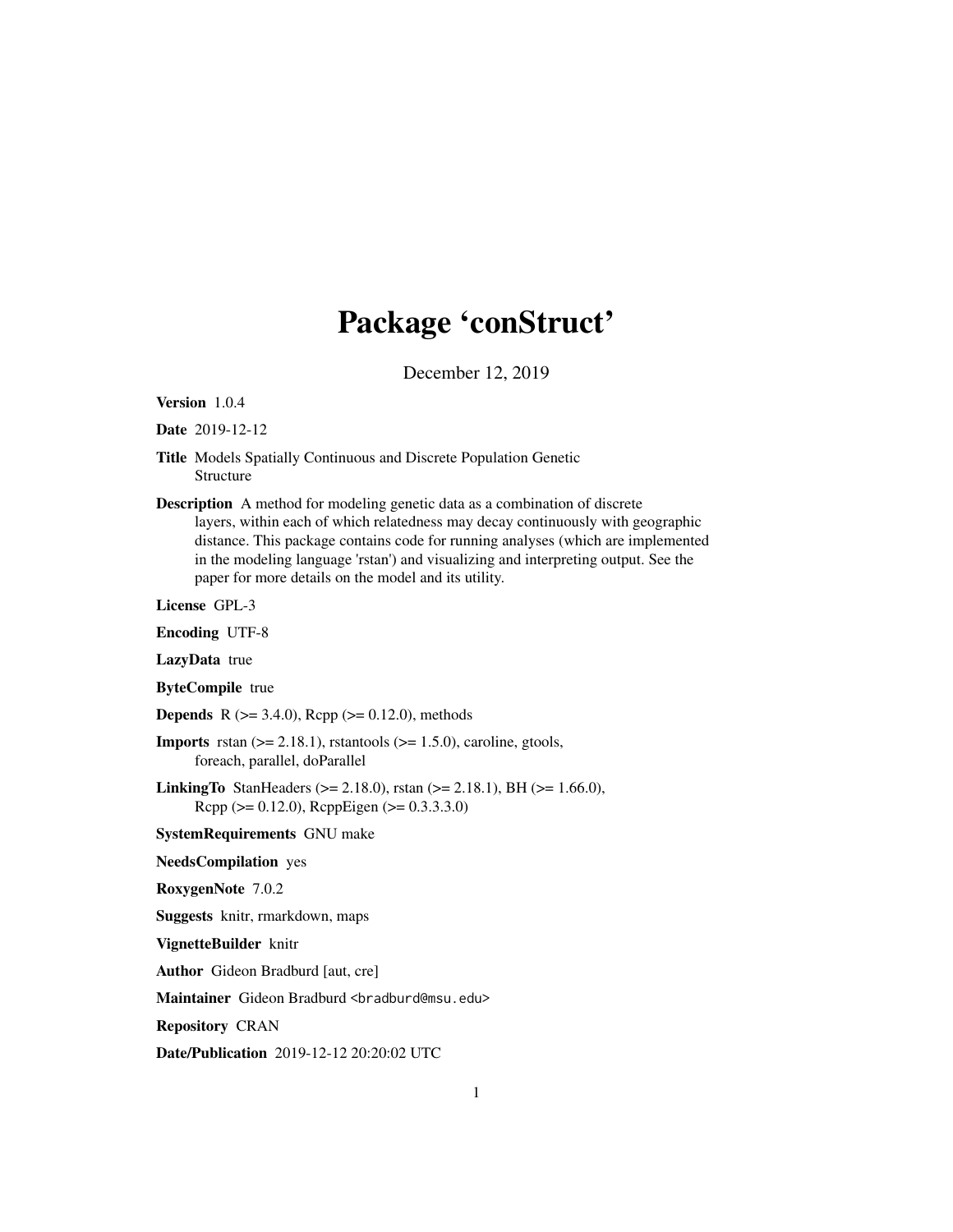## Package 'conStruct'

December 12, 2019

Version 1.0.4

Date 2019-12-12

- Title Models Spatially Continuous and Discrete Population Genetic Structure
- Description A method for modeling genetic data as a combination of discrete layers, within each of which relatedness may decay continuously with geographic distance. This package contains code for running analyses (which are implemented in the modeling language 'rstan') and visualizing and interpreting output. See the paper for more details on the model and its utility.

License GPL-3

Encoding UTF-8

LazyData true

ByteCompile true

**Depends** R ( $>= 3.4.0$ ), Rcpp ( $>= 0.12.0$ ), methods

- **Imports** rstan  $(>= 2.18.1)$ , rstantools  $(>= 1.5.0)$ , caroline, gtools, foreach, parallel, doParallel
- **LinkingTo** StanHeaders ( $>= 2.18.0$ ), rstan ( $>= 2.18.1$ ), BH ( $>= 1.66.0$ ), Rcpp (>= 0.12.0), RcppEigen (>= 0.3.3.3.0)

SystemRequirements GNU make

NeedsCompilation yes

RoxygenNote 7.0.2

Suggests knitr, rmarkdown, maps

VignetteBuilder knitr

Author Gideon Bradburd [aut, cre]

Maintainer Gideon Bradburd <br />bradburd@msu.edu>

Repository CRAN

Date/Publication 2019-12-12 20:20:02 UTC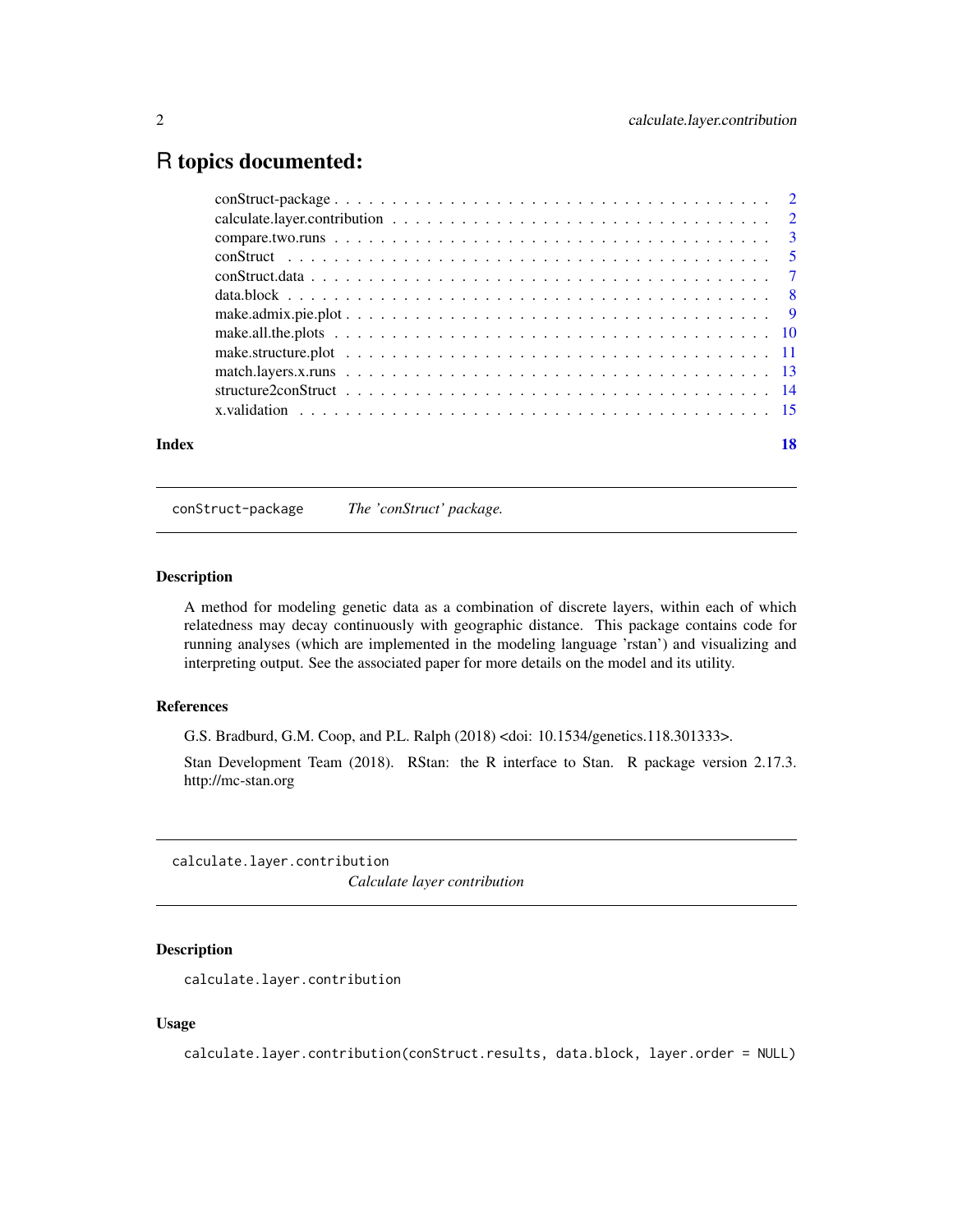### <span id="page-1-0"></span>R topics documented:

| Index |                                                                                                                                                                             | 18 |
|-------|-----------------------------------------------------------------------------------------------------------------------------------------------------------------------------|----|
|       | x, validation $\ldots$ , $\ldots$ , $\ldots$ , $\ldots$ , $\ldots$ , $\ldots$ , $\ldots$ , $\ldots$ , $\ldots$ , $\ldots$ , $\ldots$ , $\ldots$ , $\ldots$ , $\frac{15}{2}$ |    |
|       |                                                                                                                                                                             |    |
|       |                                                                                                                                                                             |    |
|       |                                                                                                                                                                             |    |
|       |                                                                                                                                                                             |    |
|       |                                                                                                                                                                             |    |
|       |                                                                                                                                                                             |    |
|       |                                                                                                                                                                             |    |
|       |                                                                                                                                                                             |    |
|       |                                                                                                                                                                             |    |
|       |                                                                                                                                                                             |    |
|       |                                                                                                                                                                             |    |

conStruct-package *The 'conStruct' package.*

#### Description

A method for modeling genetic data as a combination of discrete layers, within each of which relatedness may decay continuously with geographic distance. This package contains code for running analyses (which are implemented in the modeling language 'rstan') and visualizing and interpreting output. See the associated paper for more details on the model and its utility.

#### References

G.S. Bradburd, G.M. Coop, and P.L. Ralph (2018) <doi: 10.1534/genetics.118.301333>.

Stan Development Team (2018). RStan: the R interface to Stan. R package version 2.17.3. http://mc-stan.org

calculate.layer.contribution *Calculate layer contribution*

#### Description

calculate.layer.contribution

#### Usage

calculate.layer.contribution(conStruct.results, data.block, layer.order = NULL)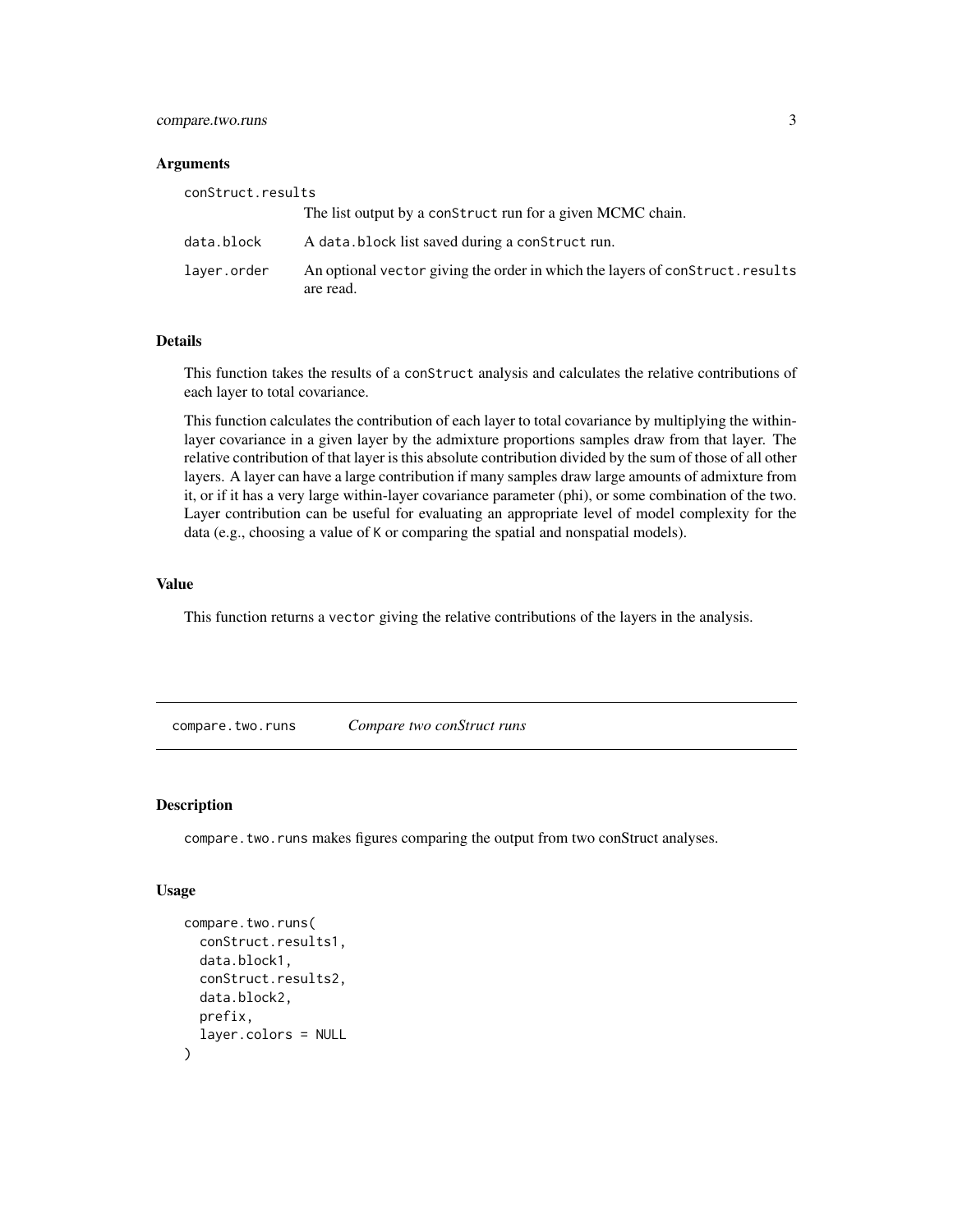#### <span id="page-2-0"></span>compare.two.runs 3

#### **Arguments**

| conStruct.results |                                                                                            |
|-------------------|--------------------------------------------------------------------------------------------|
|                   | The list output by a construct run for a given MCMC chain.                                 |
| data.block        | A data.block list saved during a construct run.                                            |
| laver.order       | An optional vector giving the order in which the layers of construct. results<br>are read. |

#### Details

This function takes the results of a conStruct analysis and calculates the relative contributions of each layer to total covariance.

This function calculates the contribution of each layer to total covariance by multiplying the withinlayer covariance in a given layer by the admixture proportions samples draw from that layer. The relative contribution of that layer is this absolute contribution divided by the sum of those of all other layers. A layer can have a large contribution if many samples draw large amounts of admixture from it, or if it has a very large within-layer covariance parameter (phi), or some combination of the two. Layer contribution can be useful for evaluating an appropriate level of model complexity for the data (e.g., choosing a value of K or comparing the spatial and nonspatial models).

#### Value

This function returns a vector giving the relative contributions of the layers in the analysis.

compare.two.runs *Compare two conStruct runs*

#### Description

compare.two.runs makes figures comparing the output from two conStruct analyses.

#### Usage

```
compare.two.runs(
  conStruct.results1,
  data.block1,
  conStruct.results2,
  data.block2,
  prefix,
  layer.colors = NULL
)
```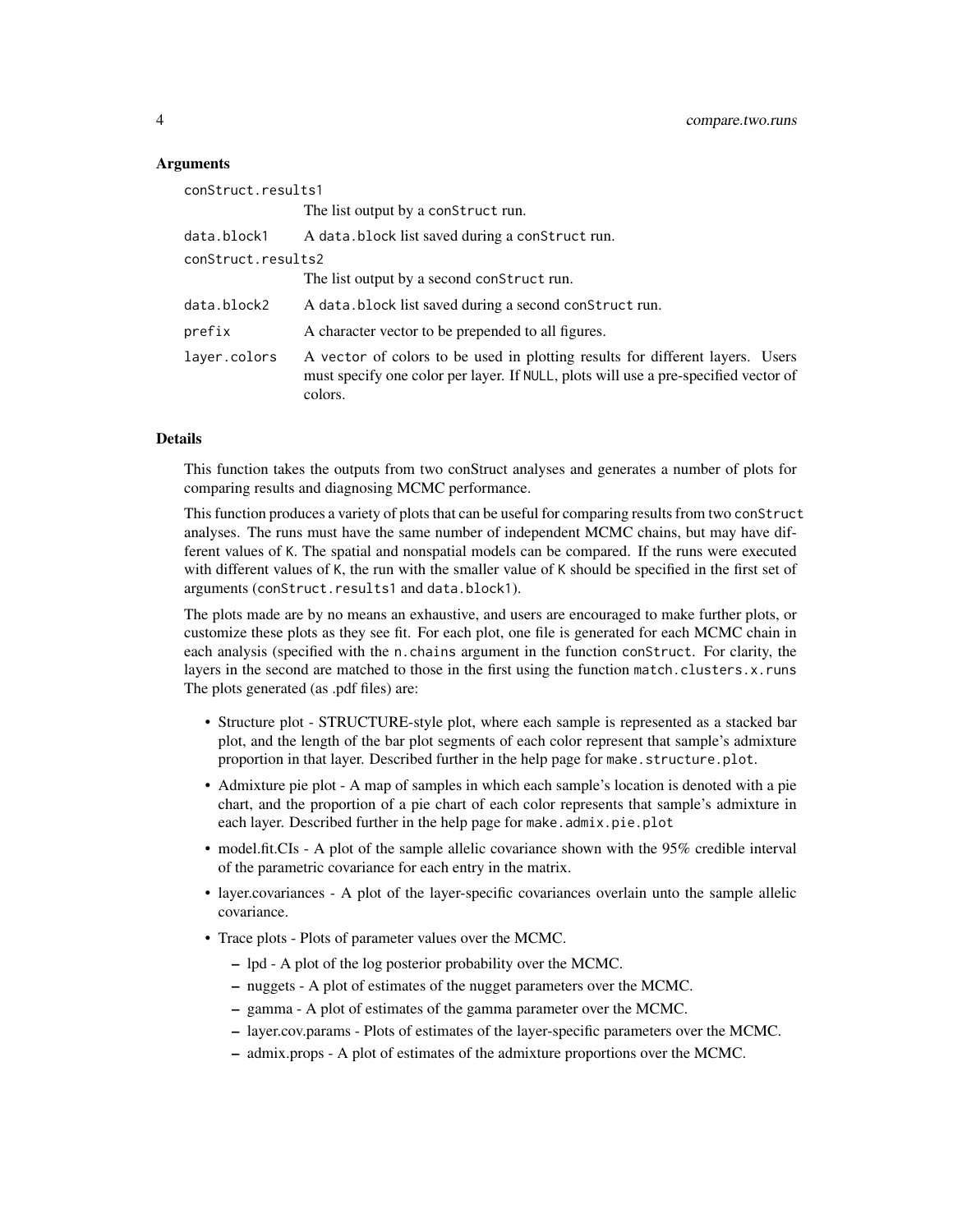#### **Arguments**

| conStruct.results1 |                                                                                                                                                                                 |  |
|--------------------|---------------------------------------------------------------------------------------------------------------------------------------------------------------------------------|--|
|                    | The list output by a construct run.                                                                                                                                             |  |
| data.block1        | A data.block list saved during a construct run.                                                                                                                                 |  |
| conStruct.results2 |                                                                                                                                                                                 |  |
|                    | The list output by a second construct run.                                                                                                                                      |  |
| data.block2        | A data.block list saved during a second construct run.                                                                                                                          |  |
| prefix             | A character vector to be prepended to all figures.                                                                                                                              |  |
| layer.colors       | A vector of colors to be used in plotting results for different layers. Users<br>must specify one color per layer. If NULL, plots will use a pre-specified vector of<br>colors. |  |

#### Details

This function takes the outputs from two conStruct analyses and generates a number of plots for comparing results and diagnosing MCMC performance.

This function produces a variety of plots that can be useful for comparing results from two conStruct analyses. The runs must have the same number of independent MCMC chains, but may have different values of K. The spatial and nonspatial models can be compared. If the runs were executed with different values of K, the run with the smaller value of K should be specified in the first set of arguments (conStruct.results1 and data.block1).

The plots made are by no means an exhaustive, and users are encouraged to make further plots, or customize these plots as they see fit. For each plot, one file is generated for each MCMC chain in each analysis (specified with the n.chains argument in the function conStruct. For clarity, the layers in the second are matched to those in the first using the function match.clusters.x.runs The plots generated (as .pdf files) are:

- Structure plot STRUCTURE-style plot, where each sample is represented as a stacked bar plot, and the length of the bar plot segments of each color represent that sample's admixture proportion in that layer. Described further in the help page for make.structure.plot.
- Admixture pie plot A map of samples in which each sample's location is denoted with a pie chart, and the proportion of a pie chart of each color represents that sample's admixture in each layer. Described further in the help page for make.admix.pie.plot
- model.fit.CIs A plot of the sample allelic covariance shown with the 95% credible interval of the parametric covariance for each entry in the matrix.
- layer.covariances A plot of the layer-specific covariances overlain unto the sample allelic covariance.
- Trace plots Plots of parameter values over the MCMC.
	- lpd A plot of the log posterior probability over the MCMC.
	- nuggets A plot of estimates of the nugget parameters over the MCMC.
	- gamma A plot of estimates of the gamma parameter over the MCMC.
	- layer.cov.params Plots of estimates of the layer-specific parameters over the MCMC.
	- admix.props A plot of estimates of the admixture proportions over the MCMC.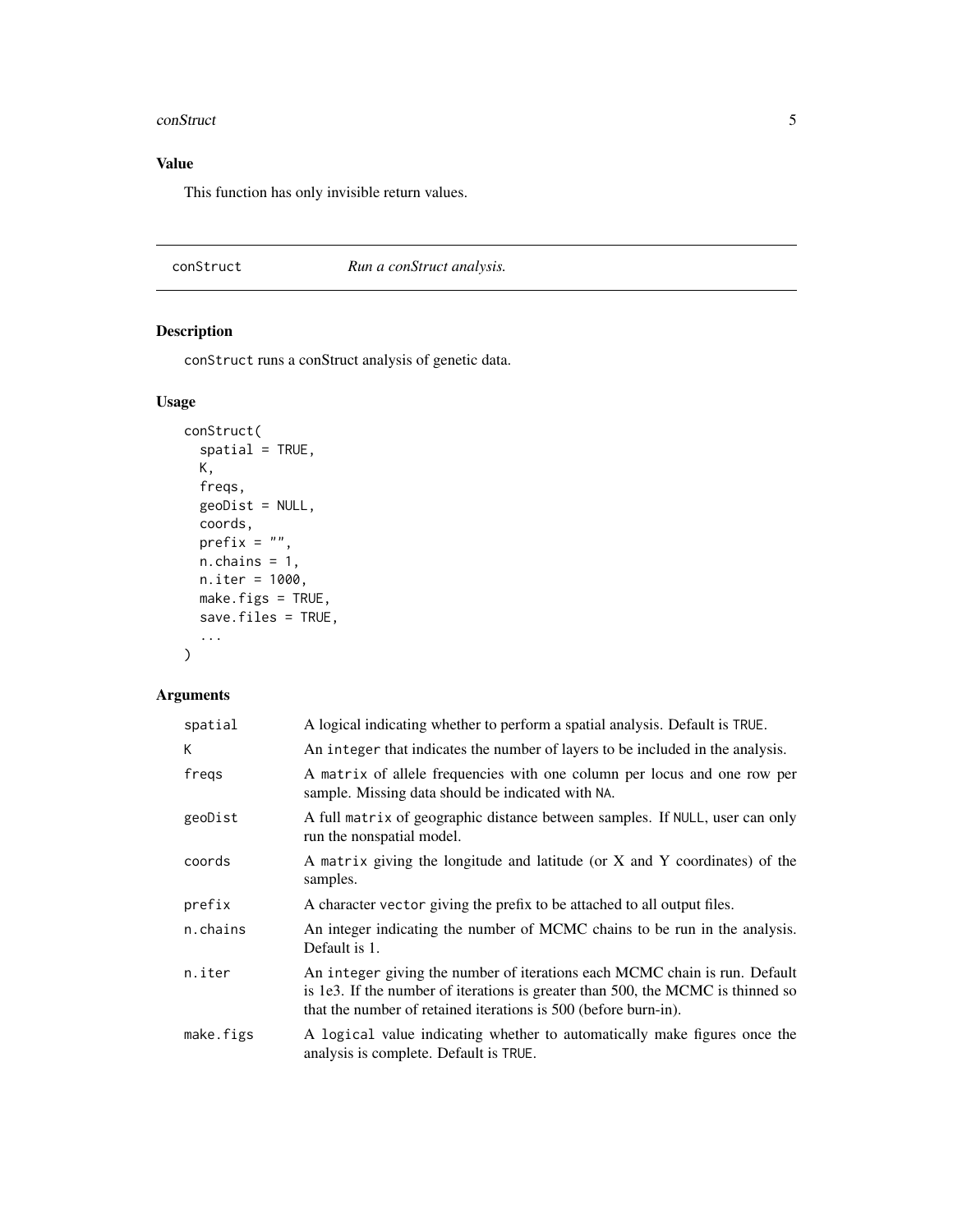#### <span id="page-4-0"></span>conStruct 5

#### Value

This function has only invisible return values.

<span id="page-4-1"></span>conStruct *Run a conStruct analysis.*

#### Description

conStruct runs a conStruct analysis of genetic data.

#### Usage

```
conStruct(
  spatial = TRUE,
 K,
 freqs,
 geoDist = NULL,
 coords,
 prefix = ",
 n.chains = 1,
 n.iter = 1000,
 make.figs = TRUE,
  save.files = TRUE,
  ...
\mathcal{L}
```
#### Arguments

| spatial   | A logical indicating whether to perform a spatial analysis. Default is TRUE.                                                                                                                                                     |
|-----------|----------------------------------------------------------------------------------------------------------------------------------------------------------------------------------------------------------------------------------|
| K.        | An integer that indicates the number of layers to be included in the analysis.                                                                                                                                                   |
| freqs     | A matrix of allele frequencies with one column per locus and one row per<br>sample. Missing data should be indicated with NA.                                                                                                    |
| geoDist   | A full matrix of geographic distance between samples. If NULL, user can only<br>run the nonspatial model.                                                                                                                        |
| coords    | A matrix giving the longitude and latitude (or X and Y coordinates) of the<br>samples.                                                                                                                                           |
| prefix    | A character vector giving the prefix to be attached to all output files.                                                                                                                                                         |
| n.chains  | An integer indicating the number of MCMC chains to be run in the analysis.<br>Default is 1.                                                                                                                                      |
| n.iter    | An integer giving the number of iterations each MCMC chain is run. Default<br>is 1e3. If the number of iterations is greater than 500, the MCMC is thinned so<br>that the number of retained iterations is 500 (before burn-in). |
| make.figs | A logical value indicating whether to automatically make figures once the<br>analysis is complete. Default is TRUE.                                                                                                              |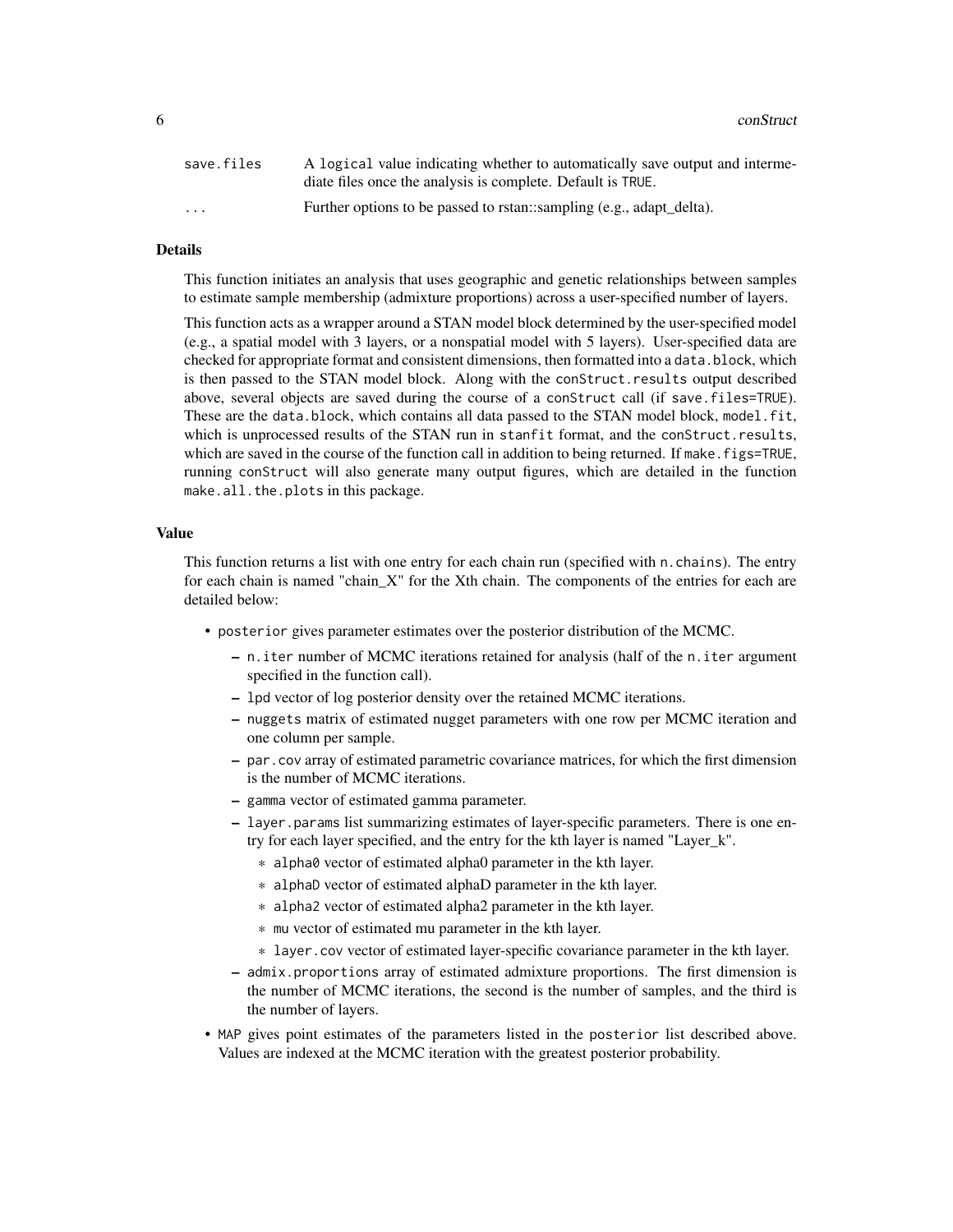6 conStructure of the construction of the construction of the construction of the construction of the construction of the construction of the construction of the construction of the construction of the construction of the

| save.files              | A logical value indicating whether to automatically save output and interme-<br>diate files once the analysis is complete. Default is TRUE. |
|-------------------------|---------------------------------------------------------------------------------------------------------------------------------------------|
| $\cdot$ $\cdot$ $\cdot$ | Further options to be passed to rstan::sampling (e.g., adapt_delta).                                                                        |

#### Details

This function initiates an analysis that uses geographic and genetic relationships between samples to estimate sample membership (admixture proportions) across a user-specified number of layers.

This function acts as a wrapper around a STAN model block determined by the user-specified model (e.g., a spatial model with 3 layers, or a nonspatial model with 5 layers). User-specified data are checked for appropriate format and consistent dimensions, then formatted into a data.block, which is then passed to the STAN model block. Along with the conStruct.results output described above, several objects are saved during the course of a conStruct call (if save.files=TRUE). These are the data.block, which contains all data passed to the STAN model block, model.fit, which is unprocessed results of the STAN run in stanfit format, and the conStruct.results, which are saved in the course of the function call in addition to being returned. If make. figs=TRUE, running conStruct will also generate many output figures, which are detailed in the function make.all.the.plots in this package.

#### Value

This function returns a list with one entry for each chain run (specified with n.chains). The entry for each chain is named "chain\_X" for the Xth chain. The components of the entries for each are detailed below:

- posterior gives parameter estimates over the posterior distribution of the MCMC.
	- n.iter number of MCMC iterations retained for analysis (half of the n.iter argument specified in the function call).
	- lpd vector of log posterior density over the retained MCMC iterations.
	- nuggets matrix of estimated nugget parameters with one row per MCMC iteration and one column per sample.
	- par.cov array of estimated parametric covariance matrices, for which the first dimension is the number of MCMC iterations.
	- gamma vector of estimated gamma parameter.
	- layer.params list summarizing estimates of layer-specific parameters. There is one entry for each layer specified, and the entry for the kth layer is named "Layer\_k".
		- \* alpha0 vector of estimated alpha0 parameter in the kth layer.
		- \* alphaD vector of estimated alphaD parameter in the kth layer.
		- \* alpha2 vector of estimated alpha2 parameter in the kth layer.
		- \* mu vector of estimated mu parameter in the kth layer.
		- \* layer.cov vector of estimated layer-specific covariance parameter in the kth layer.
	- admix.proportions array of estimated admixture proportions. The first dimension is the number of MCMC iterations, the second is the number of samples, and the third is the number of layers.
- MAP gives point estimates of the parameters listed in the posterior list described above. Values are indexed at the MCMC iteration with the greatest posterior probability.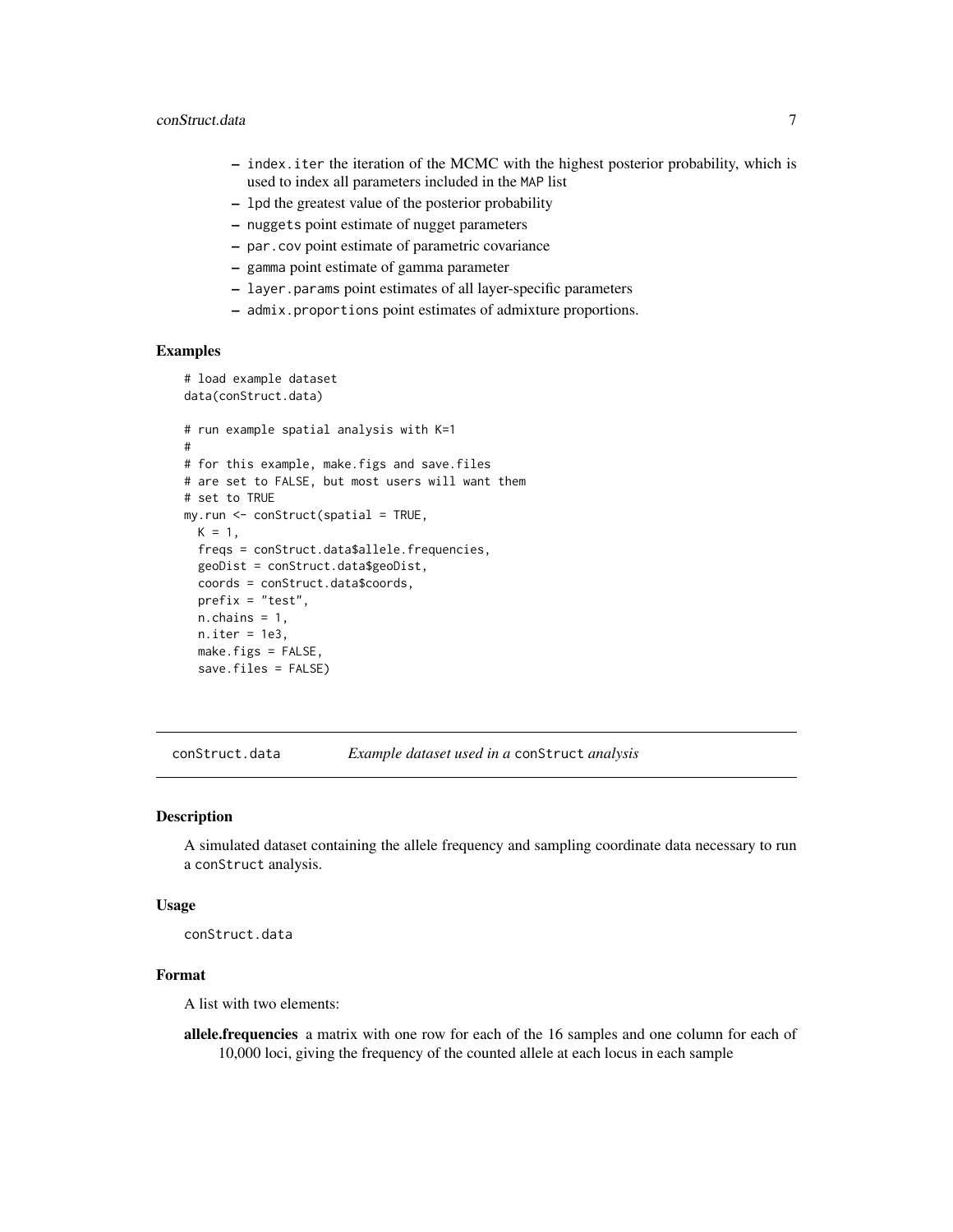- <span id="page-6-0"></span>– index.iter the iteration of the MCMC with the highest posterior probability, which is used to index all parameters included in the MAP list
- lpd the greatest value of the posterior probability
- nuggets point estimate of nugget parameters
- par.cov point estimate of parametric covariance
- gamma point estimate of gamma parameter
- layer.params point estimates of all layer-specific parameters
- admix.proportions point estimates of admixture proportions.

#### Examples

```
# load example dataset
data(conStruct.data)
# run example spatial analysis with K=1
#
# for this example, make.figs and save.files
# are set to FALSE, but most users will want them
# set to TRUE
my.run <- conStruct(spatial = TRUE,
 K = 1,freqs = conStruct.data$allele.frequencies,
 geoDist = conStruct.data$geoDist,
 coords = conStruct.data$coords,
 prefix = "test",
 n.chains = 1,
 n.iter = 1e3,
 make.figs = FALSE,
 save.files = FALSE)
```
conStruct.data *Example dataset used in a* conStruct *analysis*

#### **Description**

A simulated dataset containing the allele frequency and sampling coordinate data necessary to run a conStruct analysis.

#### Usage

conStruct.data

#### Format

A list with two elements:

allele.frequencies a matrix with one row for each of the 16 samples and one column for each of 10,000 loci, giving the frequency of the counted allele at each locus in each sample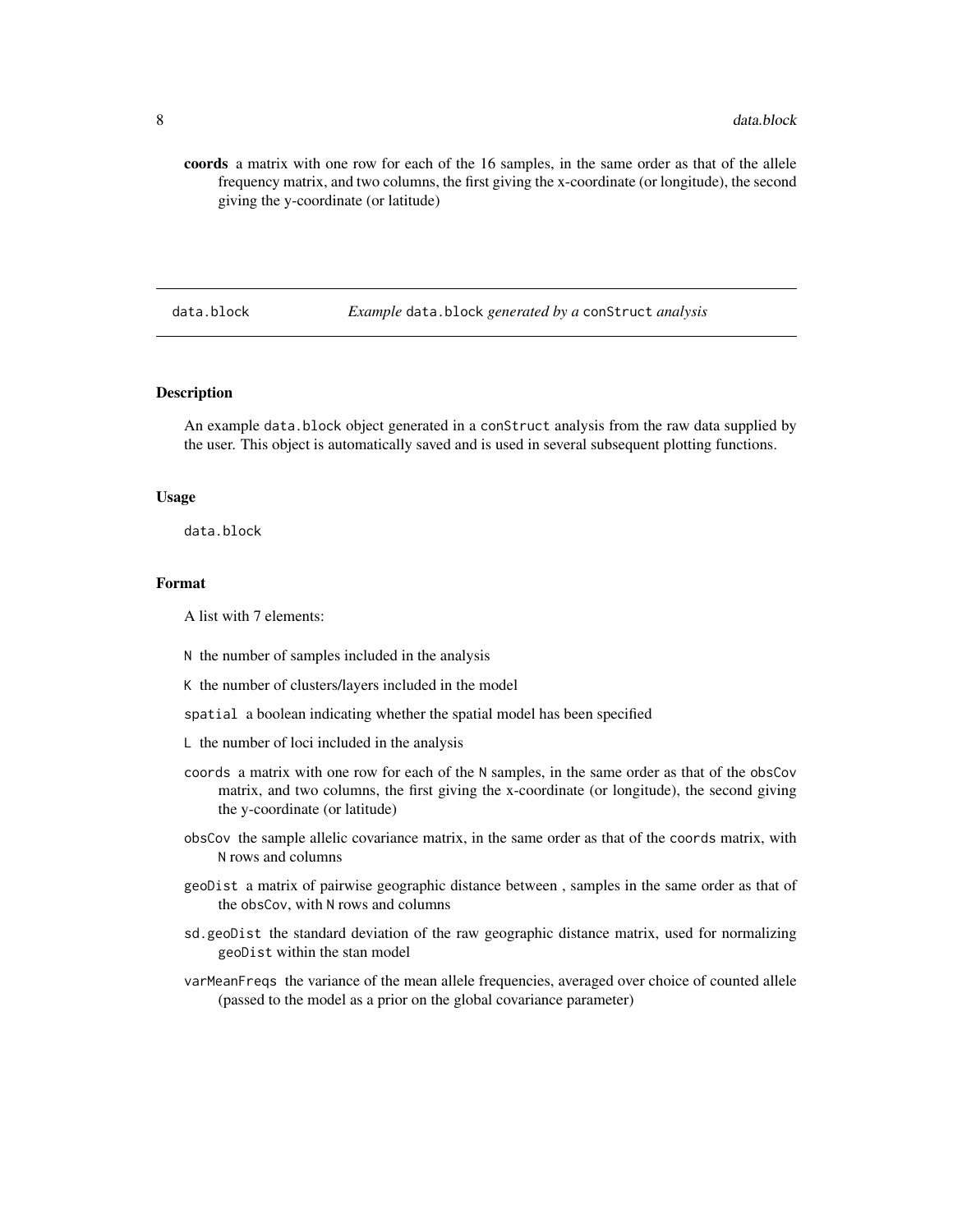<span id="page-7-0"></span>coords a matrix with one row for each of the 16 samples, in the same order as that of the allele frequency matrix, and two columns, the first giving the x-coordinate (or longitude), the second giving the y-coordinate (or latitude)

#### data.block *Example* data.block *generated by a* conStruct *analysis*

#### Description

An example data.block object generated in a conStruct analysis from the raw data supplied by the user. This object is automatically saved and is used in several subsequent plotting functions.

#### Usage

data.block

#### Format

A list with 7 elements:

- N the number of samples included in the analysis
- K the number of clusters/layers included in the model
- spatial a boolean indicating whether the spatial model has been specified
- L the number of loci included in the analysis
- coords a matrix with one row for each of the N samples, in the same order as that of the obsCov matrix, and two columns, the first giving the x-coordinate (or longitude), the second giving the y-coordinate (or latitude)
- obsCov the sample allelic covariance matrix, in the same order as that of the coords matrix, with N rows and columns
- geoDist a matrix of pairwise geographic distance between , samples in the same order as that of the obsCov, with N rows and columns
- sd.geoDist the standard deviation of the raw geographic distance matrix, used for normalizing geoDist within the stan model
- varMeanFreqs the variance of the mean allele frequencies, averaged over choice of counted allele (passed to the model as a prior on the global covariance parameter)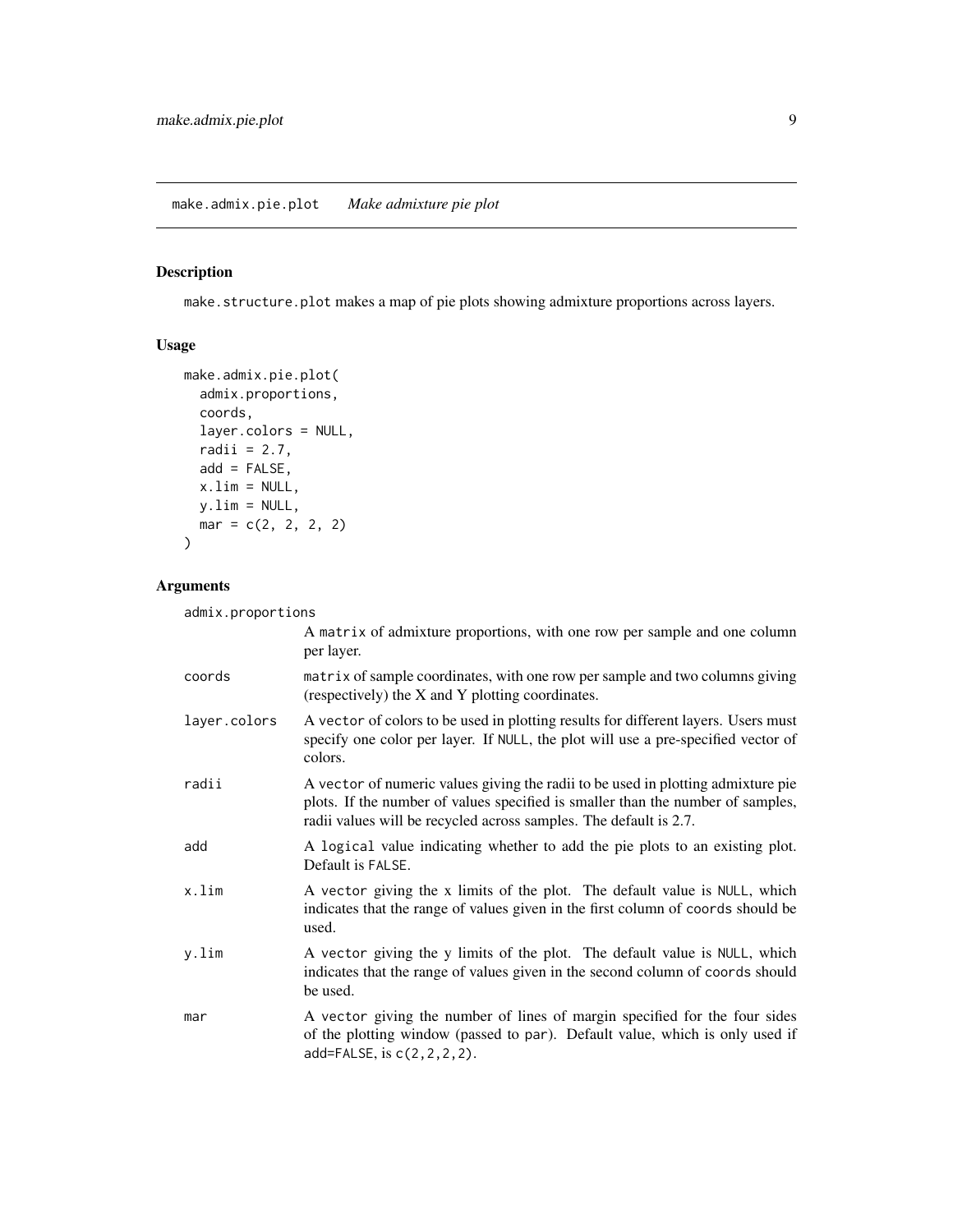#### <span id="page-8-0"></span>Description

make.structure.plot makes a map of pie plots showing admixture proportions across layers.

#### Usage

```
make.admix.pie.plot(
 admix.proportions,
 coords,
 layer.colors = NULL,
 radii = 2.7,
 add = FALSE,x.lim = NULL,
 y.lim = NULL,
 mar = c(2, 2, 2, 2))
```
#### Arguments

admix.proportions

|              | A matrix of admixture proportions, with one row per sample and one column<br>per layer.                                                                                                                                                  |
|--------------|------------------------------------------------------------------------------------------------------------------------------------------------------------------------------------------------------------------------------------------|
| coords       | matrix of sample coordinates, with one row per sample and two columns giving<br>(respectively) the X and Y plotting coordinates.                                                                                                         |
| layer.colors | A vector of colors to be used in plotting results for different layers. Users must<br>specify one color per layer. If NULL, the plot will use a pre-specified vector of<br>colors.                                                       |
| radii        | A vector of numeric values giving the radii to be used in plotting admixture pie<br>plots. If the number of values specified is smaller than the number of samples,<br>radii values will be recycled across samples. The default is 2.7. |
| add          | A logical value indicating whether to add the pie plots to an existing plot.<br>Default is FALSE.                                                                                                                                        |
| x.lim        | A vector giving the x limits of the plot. The default value is NULL, which<br>indicates that the range of values given in the first column of coords should be<br>used.                                                                  |
| y.lim        | A vector giving the y limits of the plot. The default value is NULL, which<br>indicates that the range of values given in the second column of coords should<br>be used.                                                                 |
| mar          | A vector giving the number of lines of margin specified for the four sides<br>of the plotting window (passed to par). Default value, which is only used if<br>add=FALSE, is c(2, 2, 2, 2).                                               |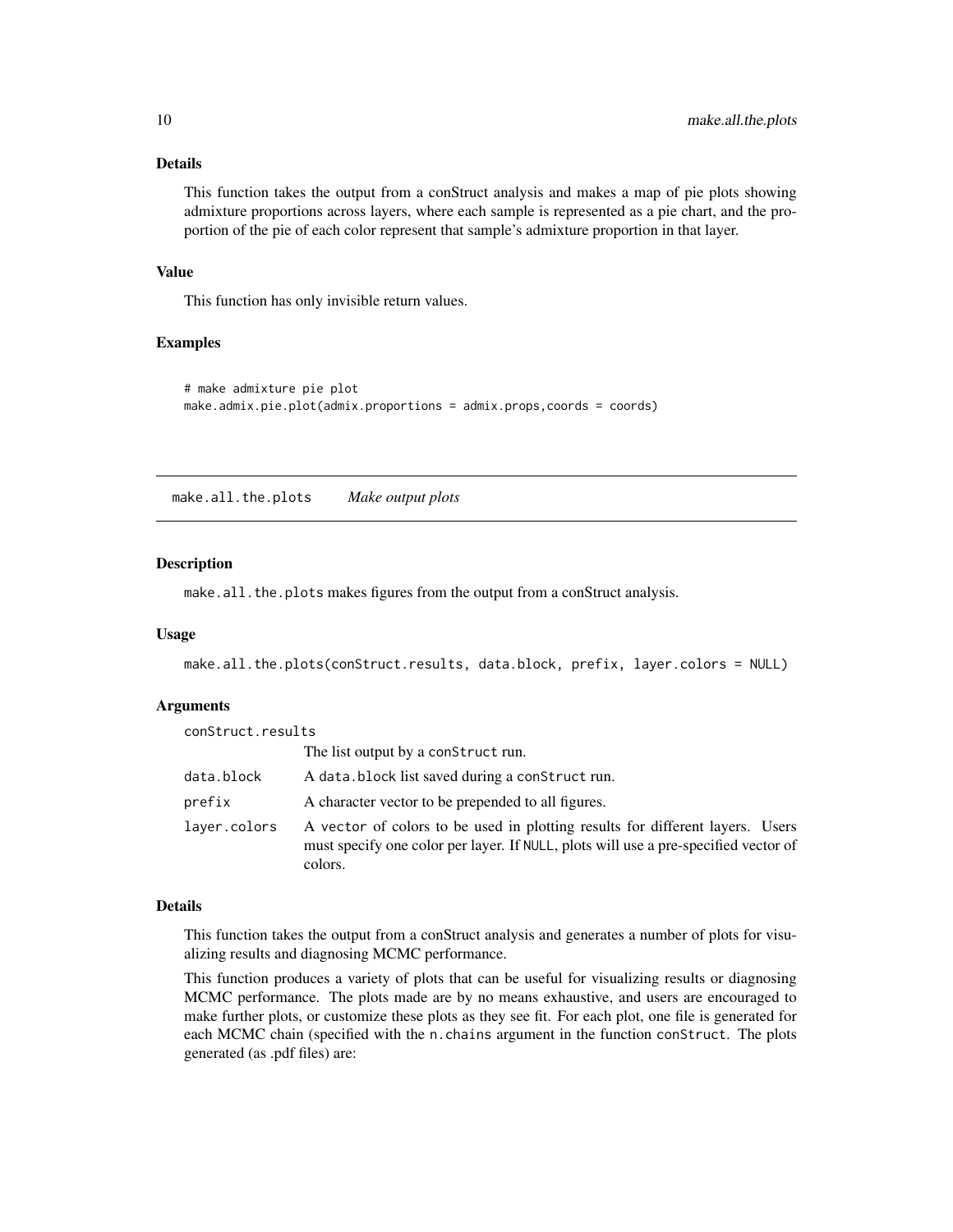#### Details

This function takes the output from a conStruct analysis and makes a map of pie plots showing admixture proportions across layers, where each sample is represented as a pie chart, and the proportion of the pie of each color represent that sample's admixture proportion in that layer.

#### Value

This function has only invisible return values.

#### Examples

```
# make admixture pie plot
make.admix.pie.plot(admix.proportions = admix.props,coords = coords)
```
make.all.the.plots *Make output plots*

#### Description

make.all.the.plots makes figures from the output from a conStruct analysis.

#### Usage

make.all.the.plots(conStruct.results, data.block, prefix, layer.colors = NULL)

#### Arguments

| conStruct.results |                                                                                                                                                                                 |
|-------------------|---------------------------------------------------------------------------------------------------------------------------------------------------------------------------------|
|                   | The list output by a construct run.                                                                                                                                             |
| data.block        | A data.block list saved during a construct run.                                                                                                                                 |
| prefix            | A character vector to be prepended to all figures.                                                                                                                              |
| layer.colors      | A vector of colors to be used in plotting results for different layers. Users<br>must specify one color per layer. If NULL, plots will use a pre-specified vector of<br>colors. |

#### Details

This function takes the output from a conStruct analysis and generates a number of plots for visualizing results and diagnosing MCMC performance.

This function produces a variety of plots that can be useful for visualizing results or diagnosing MCMC performance. The plots made are by no means exhaustive, and users are encouraged to make further plots, or customize these plots as they see fit. For each plot, one file is generated for each MCMC chain (specified with the n.chains argument in the function conStruct. The plots generated (as .pdf files) are:

<span id="page-9-0"></span>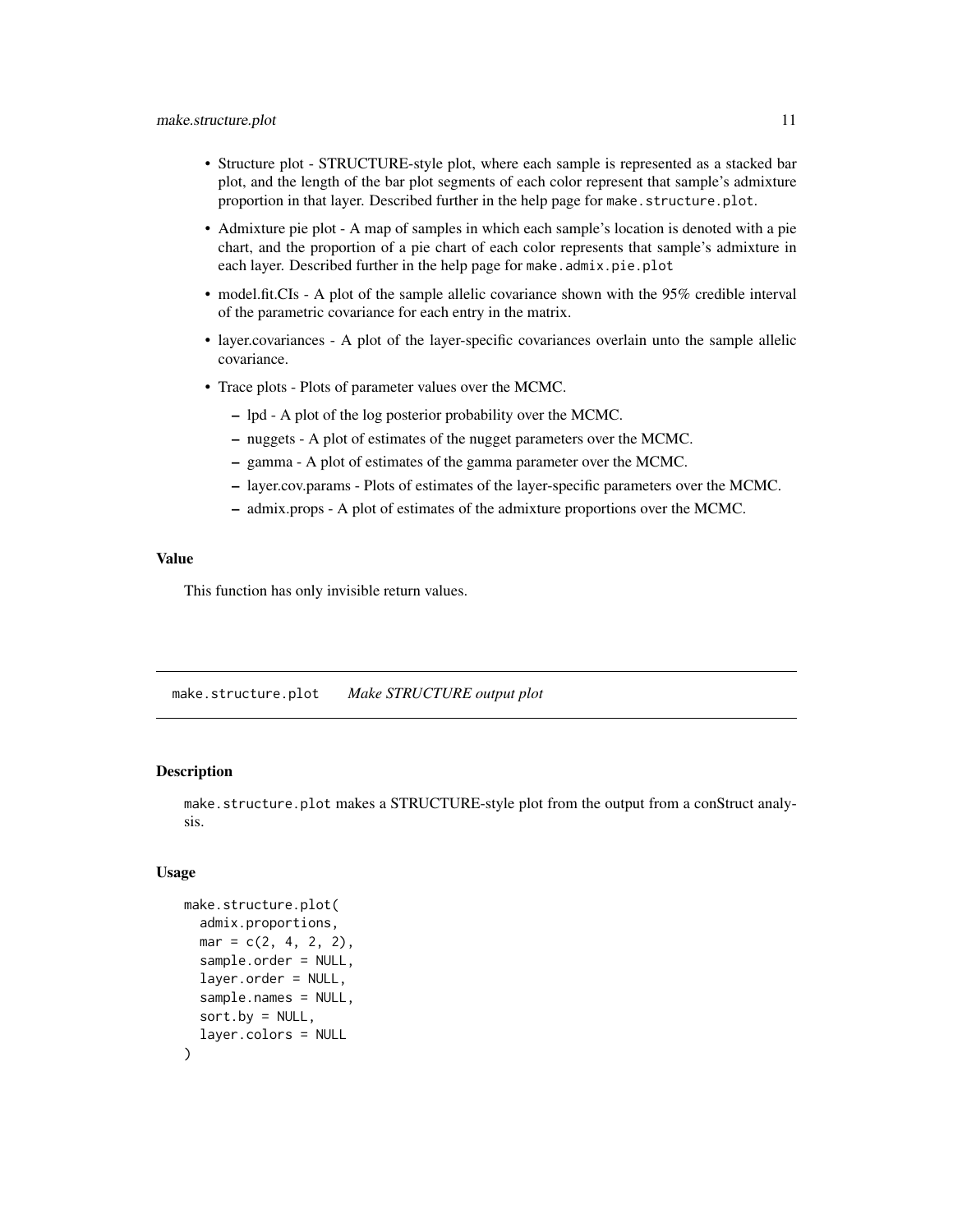- <span id="page-10-0"></span>• Structure plot - STRUCTURE-style plot, where each sample is represented as a stacked bar plot, and the length of the bar plot segments of each color represent that sample's admixture proportion in that layer. Described further in the help page for make.structure.plot.
- Admixture pie plot A map of samples in which each sample's location is denoted with a pie chart, and the proportion of a pie chart of each color represents that sample's admixture in each layer. Described further in the help page for make.admix.pie.plot
- model.fit.CIs A plot of the sample allelic covariance shown with the 95% credible interval of the parametric covariance for each entry in the matrix.
- layer.covariances A plot of the layer-specific covariances overlain unto the sample allelic covariance.
- Trace plots Plots of parameter values over the MCMC.
	- lpd A plot of the log posterior probability over the MCMC.
	- nuggets A plot of estimates of the nugget parameters over the MCMC.
	- gamma A plot of estimates of the gamma parameter over the MCMC.
	- layer.cov.params Plots of estimates of the layer-specific parameters over the MCMC.
	- admix.props A plot of estimates of the admixture proportions over the MCMC.

#### Value

This function has only invisible return values.

make.structure.plot *Make STRUCTURE output plot*

#### Description

make.structure.plot makes a STRUCTURE-style plot from the output from a conStruct analysis.

#### Usage

```
make.structure.plot(
  admix.proportions,
  mar = c(2, 4, 2, 2),sample.order = NULL,
  layer.order = NULL,
  sample.names = NULL,
  sort.py = NULL,layer.colors = NULL
)
```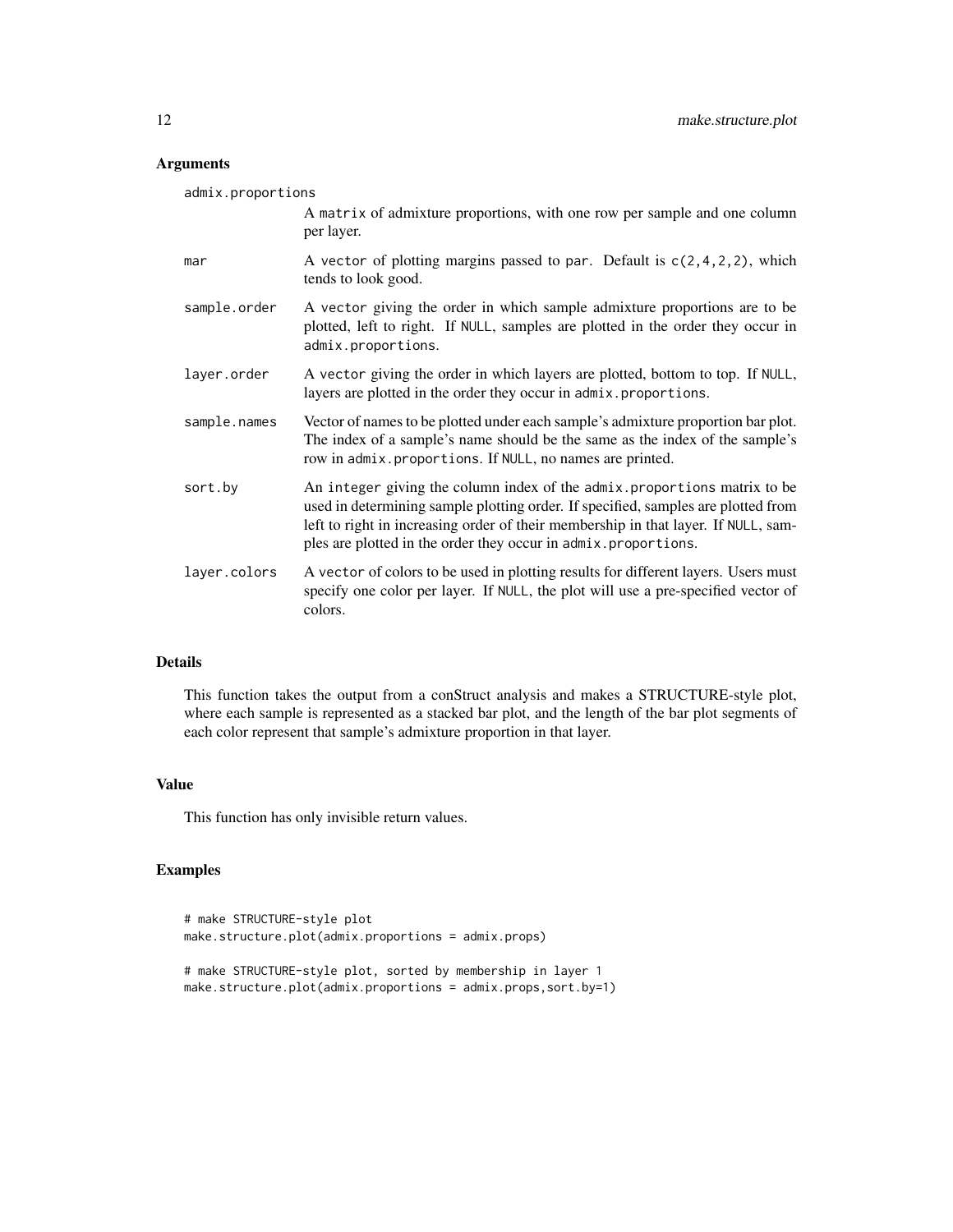#### Arguments

| admix.proportions |                                                                                                                                                                                                                                                                                                                        |  |
|-------------------|------------------------------------------------------------------------------------------------------------------------------------------------------------------------------------------------------------------------------------------------------------------------------------------------------------------------|--|
|                   | A matrix of admixture proportions, with one row per sample and one column<br>per layer.                                                                                                                                                                                                                                |  |
| mar               | A vector of plotting margins passed to par. Default is $c(2,4,2,2)$ , which<br>tends to look good.                                                                                                                                                                                                                     |  |
| sample.order      | A vector giving the order in which sample admixture proportions are to be<br>plotted, left to right. If NULL, samples are plotted in the order they occur in<br>admix.proportions.                                                                                                                                     |  |
| layer.order       | A vector giving the order in which layers are plotted, bottom to top. If NULL,<br>layers are plotted in the order they occur in admix.proportions.                                                                                                                                                                     |  |
| sample.names      | Vector of names to be plotted under each sample's admixture proportion bar plot.<br>The index of a sample's name should be the same as the index of the sample's<br>row in admix.proportions. If NULL, no names are printed.                                                                                           |  |
| sort.by           | An integer giving the column index of the admix. proportions matrix to be<br>used in determining sample plotting order. If specified, samples are plotted from<br>left to right in increasing order of their membership in that layer. If NULL, sam-<br>ples are plotted in the order they occur in admix.proportions. |  |
| layer.colors      | A vector of colors to be used in plotting results for different layers. Users must<br>specify one color per layer. If NULL, the plot will use a pre-specified vector of<br>colors.                                                                                                                                     |  |

#### Details

This function takes the output from a conStruct analysis and makes a STRUCTURE-style plot, where each sample is represented as a stacked bar plot, and the length of the bar plot segments of each color represent that sample's admixture proportion in that layer.

#### Value

This function has only invisible return values.

#### Examples

```
# make STRUCTURE-style plot
make.structure.plot(admix.proportions = admix.props)
# make STRUCTURE-style plot, sorted by membership in layer 1
make.structure.plot(admix.proportions = admix.props,sort.by=1)
```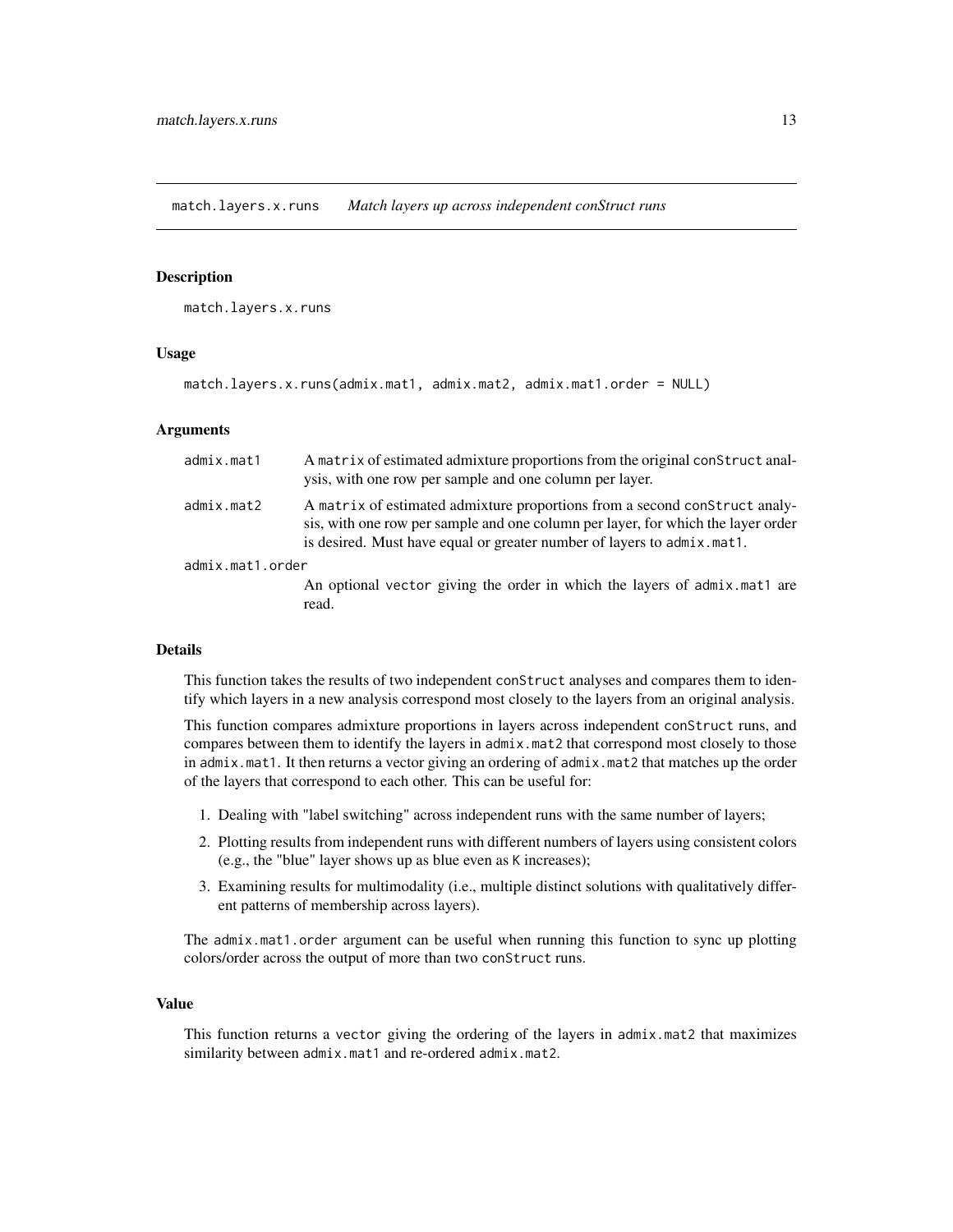<span id="page-12-0"></span>match.layers.x.runs *Match layers up across independent conStruct runs*

#### Description

match.layers.x.runs

#### Usage

```
match.layers.x.runs(admix.mat1, admix.mat2, admix.mat1.order = NULL)
```
#### Arguments

| admix.mat1       | A matrix of estimated admixture proportions from the original construct anal-<br>ysis, with one row per sample and one column per layer.                                                                                                 |
|------------------|------------------------------------------------------------------------------------------------------------------------------------------------------------------------------------------------------------------------------------------|
| admix.mat2       | A matrix of estimated admixture proportions from a second construct analy-<br>sis, with one row per sample and one column per layer, for which the layer order<br>is desired. Must have equal or greater number of layers to admix.mat1. |
| admix.mat1.order |                                                                                                                                                                                                                                          |
|                  | An optional vector giving the order in which the layers of admix mat1 are<br>read.                                                                                                                                                       |

#### Details

This function takes the results of two independent conStruct analyses and compares them to identify which layers in a new analysis correspond most closely to the layers from an original analysis.

This function compares admixture proportions in layers across independent conStruct runs, and compares between them to identify the layers in admix.mat2 that correspond most closely to those in admix.mat1. It then returns a vector giving an ordering of admix.mat2 that matches up the order of the layers that correspond to each other. This can be useful for:

- 1. Dealing with "label switching" across independent runs with the same number of layers;
- 2. Plotting results from independent runs with different numbers of layers using consistent colors (e.g., the "blue" layer shows up as blue even as K increases);
- 3. Examining results for multimodality (i.e., multiple distinct solutions with qualitatively different patterns of membership across layers).

The admix.mat1.order argument can be useful when running this function to sync up plotting colors/order across the output of more than two conStruct runs.

#### Value

This function returns a vector giving the ordering of the layers in admix.mat2 that maximizes similarity between admix.mat1 and re-ordered admix.mat2.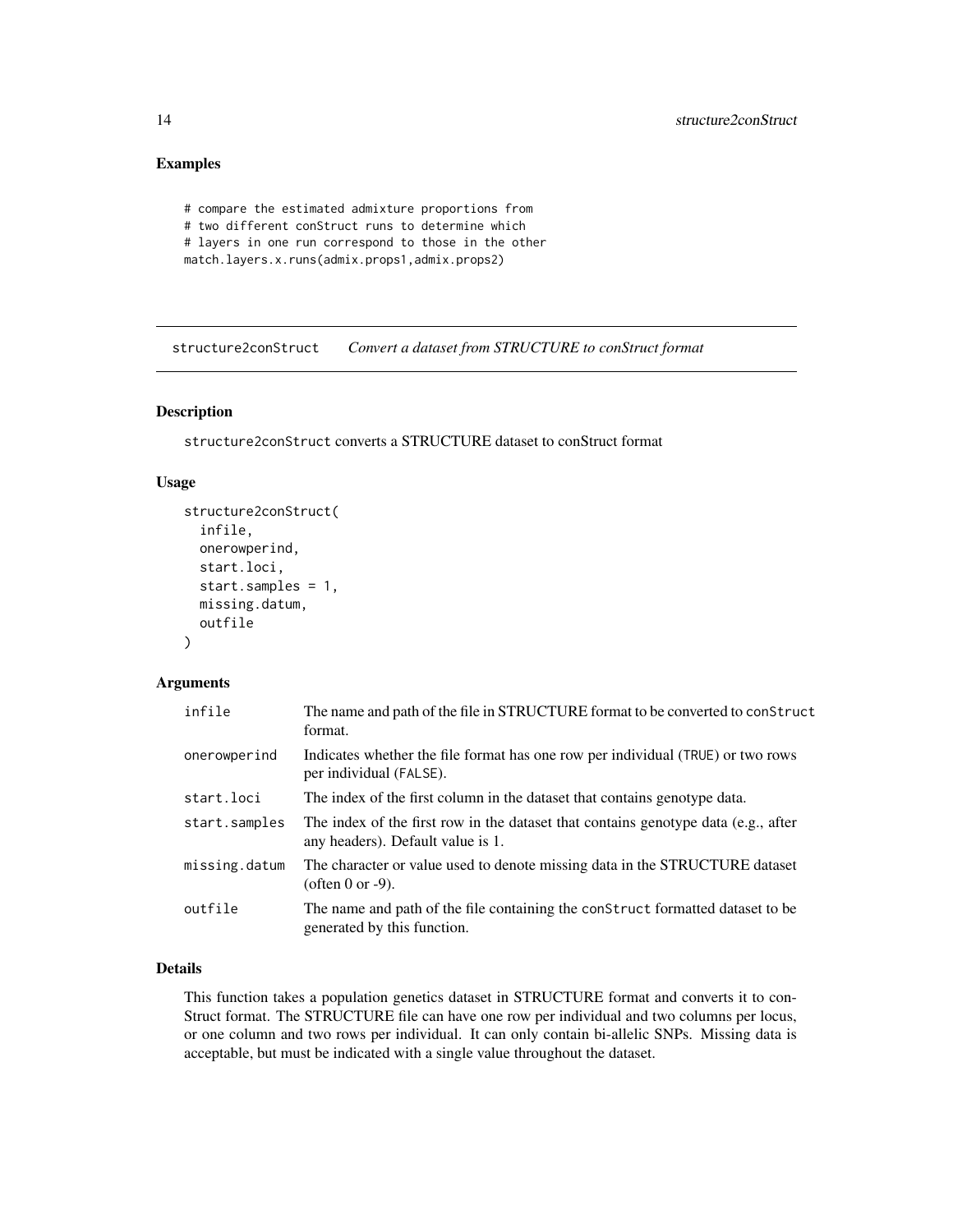#### <span id="page-13-0"></span>Examples

```
# compare the estimated admixture proportions from
# two different conStruct runs to determine which
# layers in one run correspond to those in the other
match.layers.x.runs(admix.props1,admix.props2)
```
structure2conStruct *Convert a dataset from STRUCTURE to conStruct format*

#### Description

structure2conStruct converts a STRUCTURE dataset to conStruct format

#### Usage

```
structure2conStruct(
  infile,
  onerowperind,
  start.loci,
  start.samples = 1,
  missing.datum,
  outfile
)
```
#### Arguments

| infile        | The name and path of the file in STRUCTURE format to be converted to conStruct<br>format.                               |
|---------------|-------------------------------------------------------------------------------------------------------------------------|
| onerowperind  | Indicates whether the file format has one row per individual (TRUE) or two rows<br>per individual (FALSE).              |
| start.loci    | The index of the first column in the dataset that contains genotype data.                                               |
| start.samples | The index of the first row in the dataset that contains genotype data (e.g., after<br>any headers). Default value is 1. |
| missing.datum | The character or value used to denote missing data in the STRUCTURE dataset<br>(often 0 or $-9$ ).                      |
| outfile       | The name and path of the file containing the construct formatted dataset to be<br>generated by this function.           |

#### Details

This function takes a population genetics dataset in STRUCTURE format and converts it to con-Struct format. The STRUCTURE file can have one row per individual and two columns per locus, or one column and two rows per individual. It can only contain bi-allelic SNPs. Missing data is acceptable, but must be indicated with a single value throughout the dataset.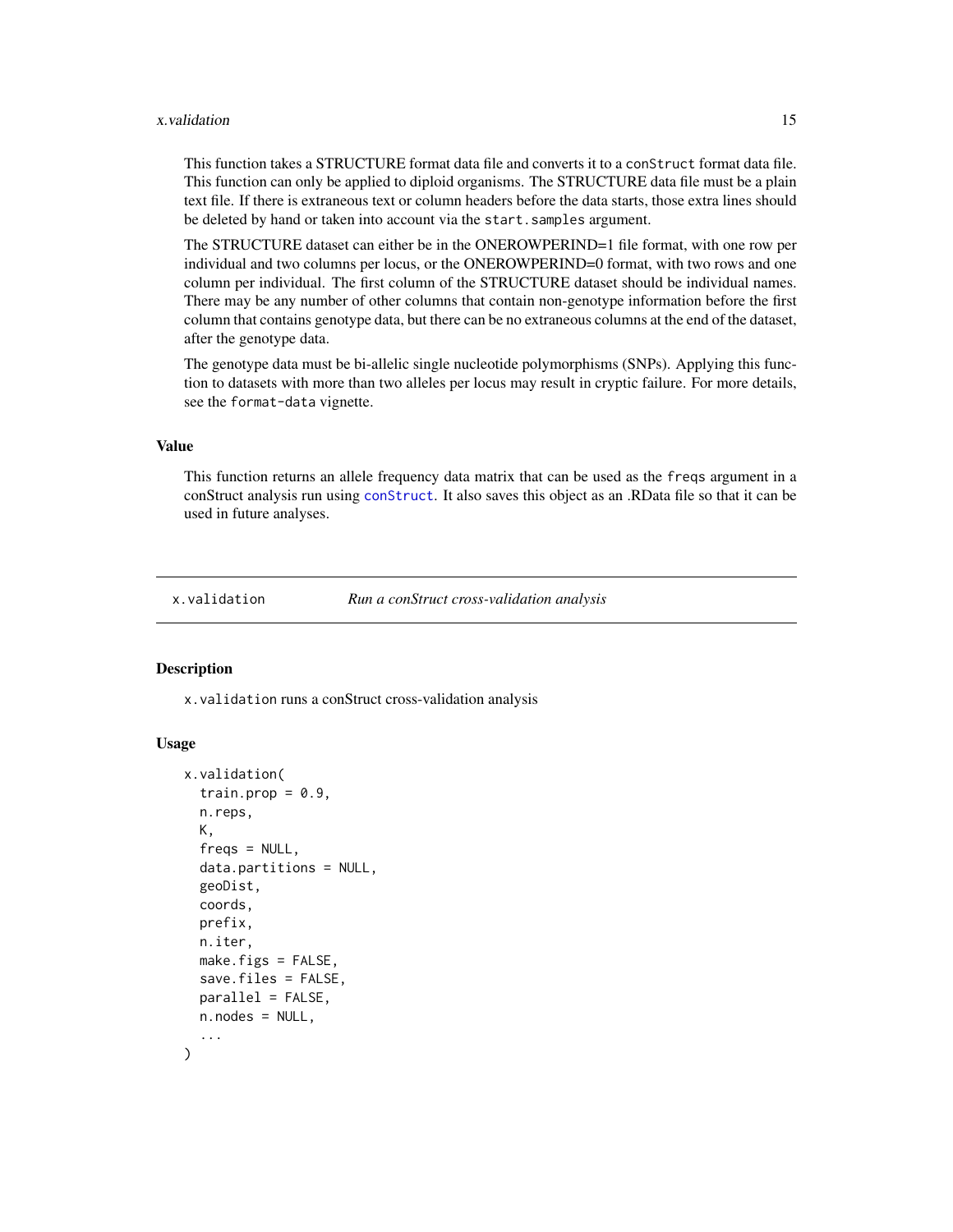#### <span id="page-14-0"></span>x.validation 15

This function takes a STRUCTURE format data file and converts it to a conStruct format data file. This function can only be applied to diploid organisms. The STRUCTURE data file must be a plain text file. If there is extraneous text or column headers before the data starts, those extra lines should be deleted by hand or taken into account via the start.samples argument.

The STRUCTURE dataset can either be in the ONEROWPERIND=1 file format, with one row per individual and two columns per locus, or the ONEROWPERIND=0 format, with two rows and one column per individual. The first column of the STRUCTURE dataset should be individual names. There may be any number of other columns that contain non-genotype information before the first column that contains genotype data, but there can be no extraneous columns at the end of the dataset, after the genotype data.

The genotype data must be bi-allelic single nucleotide polymorphisms (SNPs). Applying this function to datasets with more than two alleles per locus may result in cryptic failure. For more details, see the format-data vignette.

#### Value

This function returns an allele frequency data matrix that can be used as the freqs argument in a conStruct analysis run using [conStruct](#page-4-1). It also saves this object as an .RData file so that it can be used in future analyses.

x.validation *Run a conStruct cross-validation analysis*

#### Description

x.validation runs a conStruct cross-validation analysis

#### Usage

```
x.validation(
  train.prop = 0.9,
  n.reps,
 K,
  fregs = NULL,data.partitions = NULL,
  geoDist,
  coords,
  prefix,
  n.iter,
  make.figs = FALSE,
  save.files = FALSE,
  parallel = FALSE,
 n.nodes = NULL,...
)
```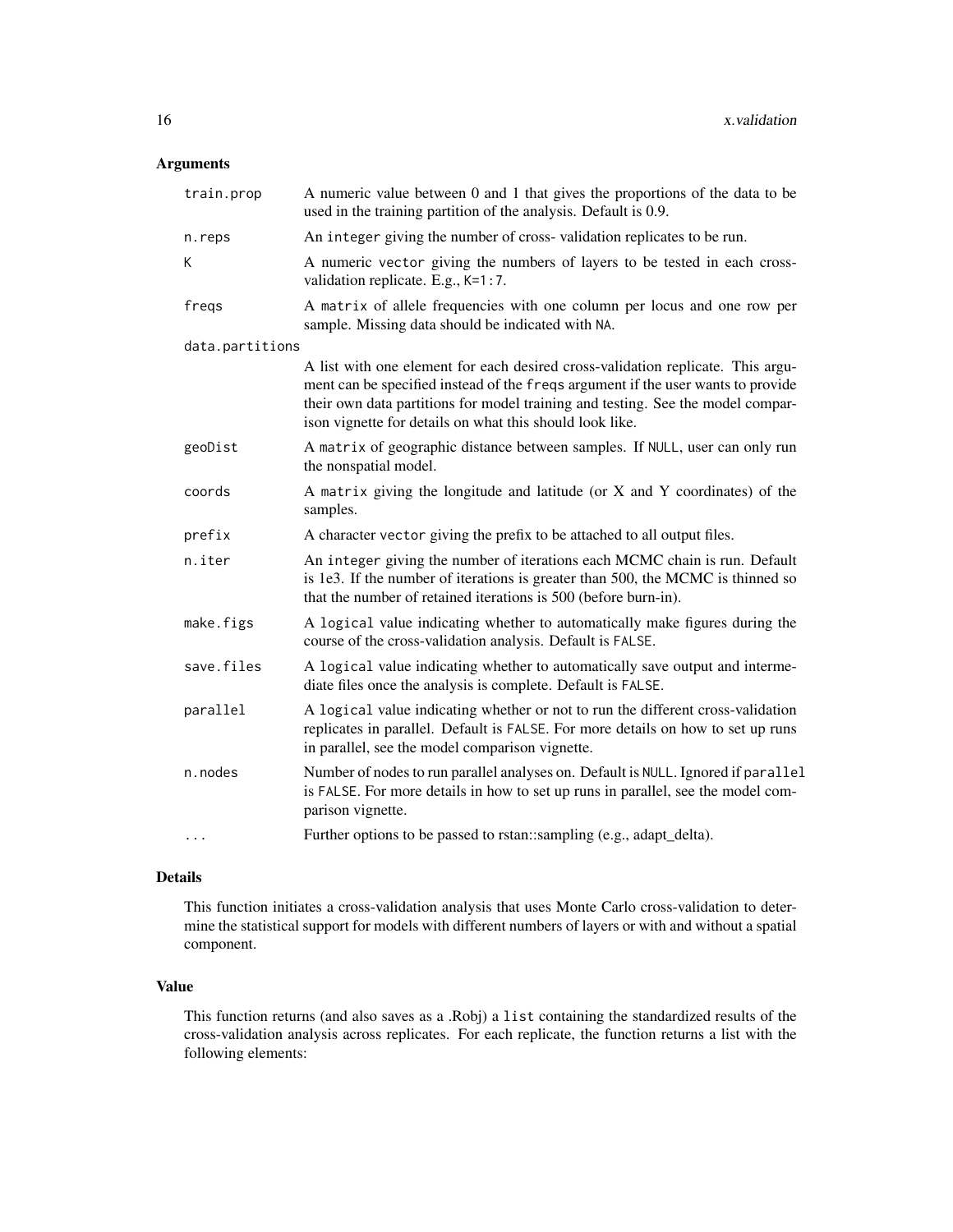#### Arguments

| train.prop      | A numeric value between 0 and 1 that gives the proportions of the data to be<br>used in the training partition of the analysis. Default is 0.9.                                                                                                                                                                    |
|-----------------|--------------------------------------------------------------------------------------------------------------------------------------------------------------------------------------------------------------------------------------------------------------------------------------------------------------------|
| n.reps          | An integer giving the number of cross-validation replicates to be run.                                                                                                                                                                                                                                             |
| К               | A numeric vector giving the numbers of layers to be tested in each cross-<br>validation replicate. E.g., K=1:7.                                                                                                                                                                                                    |
| freqs           | A matrix of allele frequencies with one column per locus and one row per<br>sample. Missing data should be indicated with NA.                                                                                                                                                                                      |
| data.partitions |                                                                                                                                                                                                                                                                                                                    |
|                 | A list with one element for each desired cross-validation replicate. This argu-<br>ment can be specified instead of the freqs argument if the user wants to provide<br>their own data partitions for model training and testing. See the model compar-<br>ison vignette for details on what this should look like. |
| geoDist         | A matrix of geographic distance between samples. If NULL, user can only run<br>the nonspatial model.                                                                                                                                                                                                               |
| coords          | A matrix giving the longitude and latitude (or X and Y coordinates) of the<br>samples.                                                                                                                                                                                                                             |
| prefix          | A character vector giving the prefix to be attached to all output files.                                                                                                                                                                                                                                           |
| n.iter          | An integer giving the number of iterations each MCMC chain is run. Default<br>is 1e3. If the number of iterations is greater than 500, the MCMC is thinned so<br>that the number of retained iterations is 500 (before burn-in).                                                                                   |
| make.figs       | A logical value indicating whether to automatically make figures during the<br>course of the cross-validation analysis. Default is FALSE.                                                                                                                                                                          |
| save.files      | A logical value indicating whether to automatically save output and interme-<br>diate files once the analysis is complete. Default is FALSE.                                                                                                                                                                       |
| parallel        | A logical value indicating whether or not to run the different cross-validation<br>replicates in parallel. Default is FALSE. For more details on how to set up runs<br>in parallel, see the model comparison vignette.                                                                                             |
| n.nodes         | Number of nodes to run parallel analyses on. Default is NULL. Ignored if parallel<br>is FALSE. For more details in how to set up runs in parallel, see the model com-<br>parison vignette.                                                                                                                         |
| .               | Further options to be passed to rstan::sampling (e.g., adapt_delta).                                                                                                                                                                                                                                               |

#### Details

This function initiates a cross-validation analysis that uses Monte Carlo cross-validation to determine the statistical support for models with different numbers of layers or with and without a spatial component.

#### Value

This function returns (and also saves as a .Robj) a list containing the standardized results of the cross-validation analysis across replicates. For each replicate, the function returns a list with the following elements: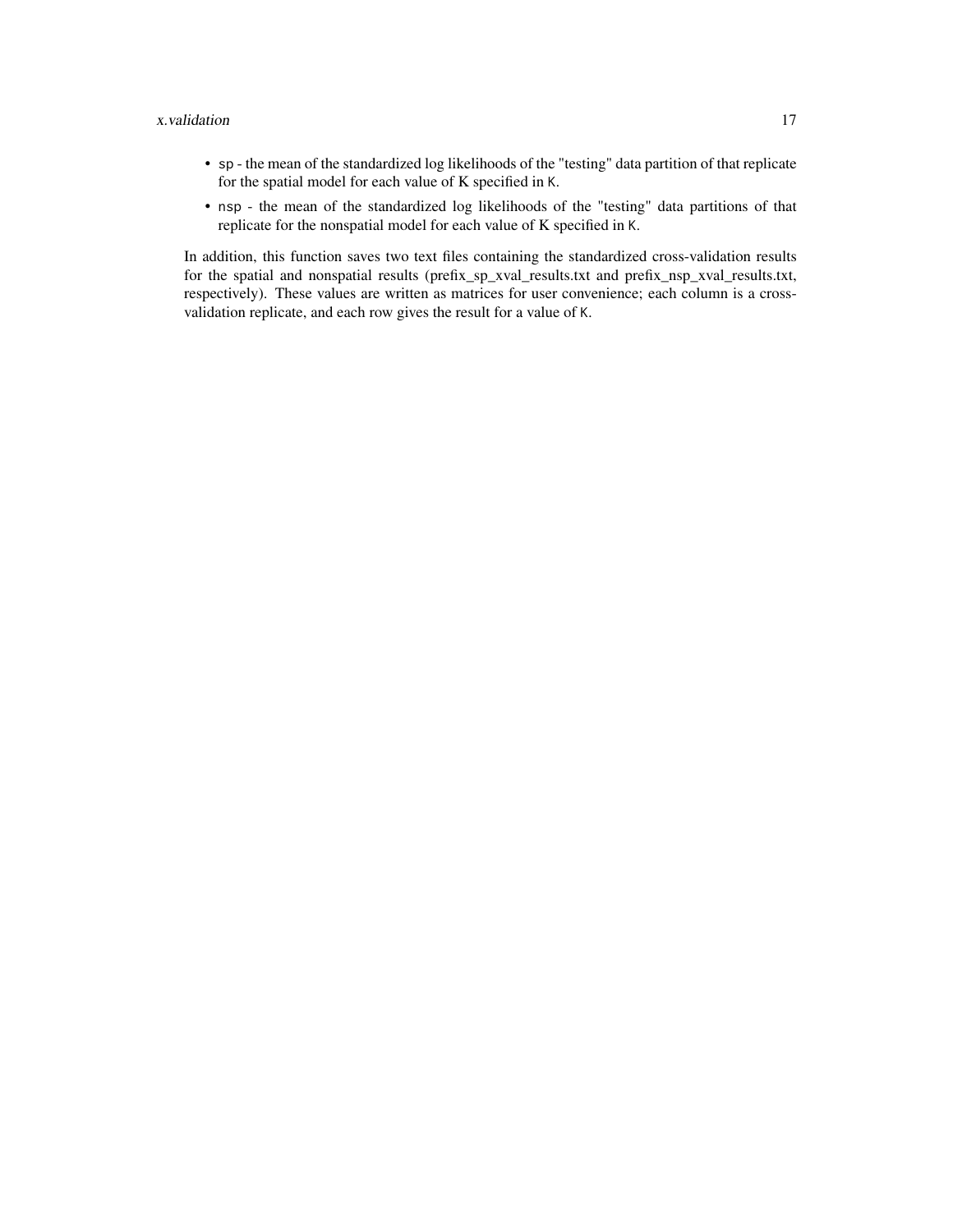#### x.validation 17

- sp the mean of the standardized log likelihoods of the "testing" data partition of that replicate for the spatial model for each value of K specified in K.
- nsp the mean of the standardized log likelihoods of the "testing" data partitions of that replicate for the nonspatial model for each value of K specified in K.

In addition, this function saves two text files containing the standardized cross-validation results for the spatial and nonspatial results (prefix\_sp\_xval\_results.txt and prefix\_nsp\_xval\_results.txt, respectively). These values are written as matrices for user convenience; each column is a crossvalidation replicate, and each row gives the result for a value of K.